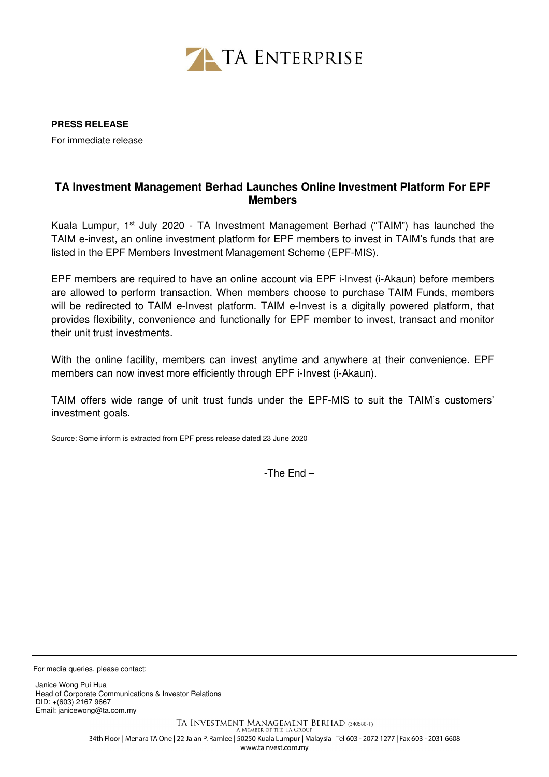

**PRESS RELEASE** 

For immediate release

## **TA Investment Management Berhad Launches Online Investment Platform For EPF Members**

Kuala Lumpur,  $1<sup>st</sup>$  July 2020 - TA Investment Management Berhad ("TAIM") has launched the TAIM e-invest, an online investment platform for EPF members to invest in TAIM's funds that are listed in the EPF Members Investment Management Scheme (EPF-MIS).

EPF members are required to have an online account via EPF i-Invest (i-Akaun) before members are allowed to perform transaction. When members choose to purchase TAIM Funds, members will be redirected to TAIM e-Invest platform. TAIM e-Invest is a digitally powered platform, that provides flexibility, convenience and functionally for EPF member to invest, transact and monitor their unit trust investments.

With the online facility, members can invest anytime and anywhere at their convenience. EPF members can now invest more efficiently through EPF i-Invest (i-Akaun).

TAIM offers wide range of unit trust funds under the EPF-MIS to suit the TAIM's customers' investment goals.

Source: Some inform is extracted from EPF press release dated 23 June 2020

-The End –

For media queries, please contact:

Janice Wong Pui Hua Head of Corporate Communications & Investor Relations DID: +(603) 2167 9667 Email: janicewong@ta.com.my